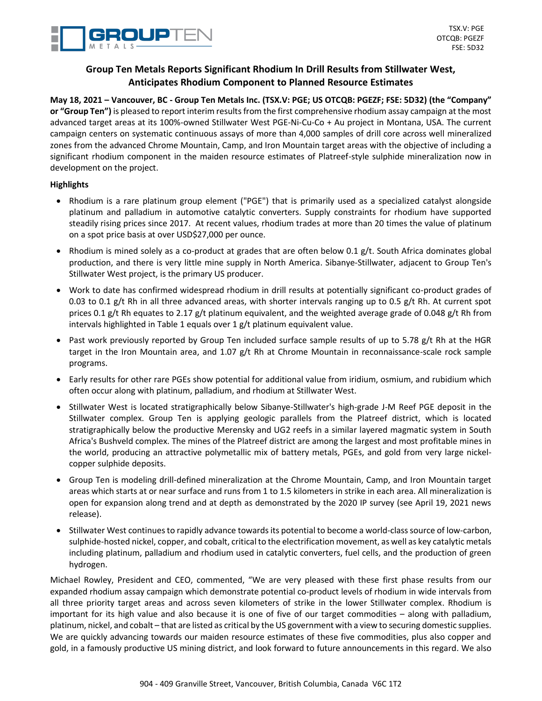

# **Group Ten Metals Reports Significant Rhodium In Drill Results from Stillwater West, Anticipates Rhodium Component to Planned Resource Estimates**

**May 18, 2021 – Vancouver, BC - Group Ten Metals Inc. (TSX.V: PGE; US OTCQB: PGEZF; FSE: 5D32) (the "Company" or "Group Ten")** is pleased to report interim results from the first comprehensive rhodium assay campaign at the most advanced target areas at its 100%-owned Stillwater West PGE-Ni-Cu-Co + Au project in Montana, USA. The current campaign centers on systematic continuous assays of more than 4,000 samples of drill core across well mineralized zones from the advanced Chrome Mountain, Camp, and Iron Mountain target areas with the objective of including a significant rhodium component in the maiden resource estimates of Platreef-style sulphide mineralization now in development on the project.

# **Highlights**

- Rhodium is a rare platinum group element ("PGE") that is primarily used as a specialized catalyst alongside platinum and palladium in automotive catalytic converters. Supply constraints for rhodium have supported steadily rising prices since 2017. At recent values, rhodium trades at more than 20 times the value of platinum on a spot price basis at over USD\$27,000 per ounce.
- Rhodium is mined solely as a co-product at grades that are often below 0.1 g/t. South Africa dominates global production, and there is very little mine supply in North America. Sibanye-Stillwater, adjacent to Group Ten's Stillwater West project, is the primary US producer.
- Work to date has confirmed widespread rhodium in drill results at potentially significant co-product grades of 0.03 to 0.1 g/t Rh in all three advanced areas, with shorter intervals ranging up to 0.5 g/t Rh. At current spot prices 0.1 g/t Rh equates to 2.17 g/t platinum equivalent, and the weighted average grade of 0.048 g/t Rh from intervals highlighted in Table 1 equals over 1 g/t platinum equivalent value.
- Past work previously reported by Group Ten included surface sample results of up to 5.78 g/t Rh at the HGR target in the Iron Mountain area, and 1.07 g/t Rh at Chrome Mountain in reconnaissance-scale rock sample programs.
- Early results for other rare PGEs show potential for additional value from iridium, osmium, and rubidium which often occur along with platinum, palladium, and rhodium at Stillwater West.
- Stillwater West is located stratigraphically below Sibanye-Stillwater's high-grade J-M Reef PGE deposit in the Stillwater complex. Group Ten is applying geologic parallels from the Platreef district, which is located stratigraphically below the productive Merensky and UG2 reefs in a similar layered magmatic system in South Africa's Bushveld complex. The mines of the Platreef district are among the largest and most profitable mines in the world, producing an attractive polymetallic mix of battery metals, PGEs, and gold from very large nickelcopper sulphide deposits.
- Group Ten is modeling drill-defined mineralization at the Chrome Mountain, Camp, and Iron Mountain target areas which starts at or near surface and runs from 1 to 1.5 kilometers in strike in each area. All mineralization is open for expansion along trend and at depth as demonstrated by the 2020 IP survey (see April 19, 2021 news release).
- Stillwater West continues to rapidly advance towards its potential to become a world-class source of low-carbon, sulphide-hosted nickel, copper, and cobalt, critical to the electrification movement, as well as key catalytic metals including platinum, palladium and rhodium used in catalytic converters, fuel cells, and the production of green hydrogen.

Michael Rowley, President and CEO, commented, "We are very pleased with these first phase results from our expanded rhodium assay campaign which demonstrate potential co-product levels of rhodium in wide intervals from all three priority target areas and across seven kilometers of strike in the lower Stillwater complex. Rhodium is important for its high value and also because it is one of five of our target commodities – along with palladium, platinum, nickel, and cobalt – that are listed as critical by the US government with a view to securing domestic supplies. We are quickly advancing towards our maiden resource estimates of these five commodities, plus also copper and gold, in a famously productive US mining district, and look forward to future announcements in this regard. We also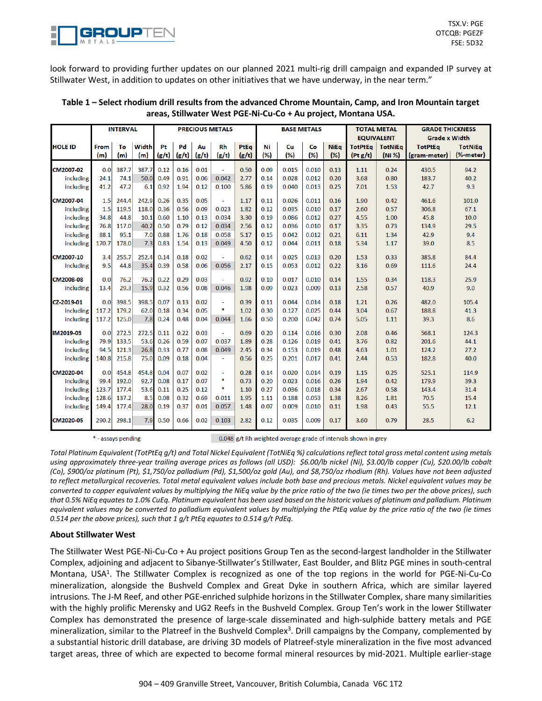

look forward to providing further updates on our planned 2021 multi-rig drill campaign and expanded IP survey at Stillwater West, in addition to updates on other initiatives that we have underway, in the near term."

|                | <b>INTERVAL</b> |           |              | <b>PRECIOUS METALS</b> |             |             |                       |               | <b>BASE METALS</b> |           |           |                     | <b>TOTAL METAL</b><br><b>EQUIVALENT</b> |                          | <b>GRADE THICKNESS</b><br><b>Grade x Width</b> |                             |
|----------------|-----------------|-----------|--------------|------------------------|-------------|-------------|-----------------------|---------------|--------------------|-----------|-----------|---------------------|-----------------------------------------|--------------------------|------------------------------------------------|-----------------------------|
| <b>HOLE ID</b> | From<br>(m)     | To<br>(m) | Width<br>(m) | Pt<br>(g/t)            | Pd<br>(g/t) | Au<br>(g/t) | Rh<br>(g/t)           | PtEa<br>(g/t) | Ni<br>(%)          | Cu<br>(%) | Co<br>(%) | <b>NiEq</b><br>(% ) | <b>TotPtEq</b><br>(Pt g/t)              | <b>TotNiEg</b><br>(Ni %) | <b>TotPtEa</b><br>(gram-meter)                 | <b>TotNiEg</b><br>(%-meter) |
| CM2007-02      | 0.0             | 387.7     | 387.7        | 0.12                   | 0.16        | 0.01        | ÷.                    | 0.50          | 0.09               | 0.015     | 0.010     | 0.13                | 1.11                                    | 0.24                     | 430.5                                          | 94.2                        |
| including      | 24.1            | 74.1      | 50.0         | 0.49                   | 0.91        | 0.06        | 0.042                 | 2.77          | 0.14               | 0.028     | 0.012     | 0.20                | 3.68                                    | 0.80                     | 183.7                                          | 40.2                        |
| including      | 41.2            | 47.2      | 6.1          | 0.92                   | 1.94        | 0.12        | 0.100                 | 5.86          | 0.19               | 0.040     | 0.013     | 0.25                | 7.01                                    | 1.53                     | 42.7                                           | 9.3                         |
| CM2007-04      | 1.5             | 244.4     | 242.9        | 0.26                   | 0.35        | 0.05        | ÷.                    | 1.17          | 0.11               | 0.026     | 0.011     | 0.16                | 1.90                                    | 0.42                     | 461.6                                          | 101.0                       |
| including      | 1.5             | 119.5     | 118.0        | 0.36                   | 0.56        | 0.09        | 0.023                 | 1.82          | 0.12               | 0.035     | 0.010     | 0.17                | 2.60                                    | 0.57                     | 306.8                                          | 67.1                        |
| including      | 34.8            | 44.8      | 10.1         | 0.60                   | 1.10        | 0.13        | 0.034                 | 3.30          | 0.19               | 0.086     | 0.012     | 0.27                | 4.55                                    | 1.00                     | 45.8                                           | 10.0                        |
| including      | 76.8            | 117.0     | 40.2         | 0.50                   | 0.79        | 0.12        | 0.034                 | 2.56          | 0.12               | 0.036     | 0.010     | 0.17                | 3.35                                    | 0.73                     | 134.9                                          | 29.5                        |
| including      | 88.1            | 95.1      | 7.0          | 0.88                   | 1.76        | 0.18        | 0.058                 | 5.17          | 0.15               | 0.042     | 0.012     | 0.21                | 6.11                                    | 1.34                     | 42.9                                           | 9.4                         |
| including      | 170.7           | 178.0     | 7.3          | 0.83                   | 1.54        | 0.13        | 0.049                 | 4.50          | 0.12               | 0.044     | 0.011     | 0.18                | 5.34                                    | 1.17                     | 39.0                                           | 8.5                         |
| CM2007-10      | 3.4             | 255.7     | 252.4        | 0.14                   | 0.18        | 0.02        | ÷.                    | 0.62          | 0.14               | 0.025     | 0.013     | 0.20                | 1.53                                    | 0.33                     | 385.8                                          | 84.4                        |
| including      | 9.5             | 44.8      | 35.4         | 0.39                   | 0.58        | 0.06        | 0.056                 | 2.17          | 0.15               | 0.053     | 0.012     | 0.22                | 3.16                                    | 0.69                     | 111.6                                          | 24.4                        |
| CM2008-08      | 0.0             | 76.2      | 76.2         | 0.22                   | 0.29        | 0.03        | ÷.                    | 0.92          | 0.10               | 0.017     | 0.010     | 0.14                | 1.55                                    | 0.34                     | 118.3                                          | 25.9                        |
| including      | 13.4            | 29.3      | 15.9         | 0.32                   | 0.56        | 0.08        | 0.046                 | 1.98          | 0.09               | 0.023     | 0.009     | 0.13                | 2.58                                    | 0.57                     | 40.9                                           | 9.0                         |
| CZ-2019-01     | 0.0             | 398.5     | 398.5        | 0.07                   | 0.13        | 0.02        | $\tilde{\phantom{a}}$ | 0.39          | 0.11               | 0.044     | 0.014     | 0.18                | 1.21                                    | 0.26                     | 482.0                                          | 105.4                       |
| including      | 117.2           | 179.2     | 62.0         | 0.18                   | 0.34        | 0.05        | *                     | 1.02          | 0.30               | 0.127     | 0.025     | 0.44                | 3.04                                    | 0.67                     | 188.8                                          | 41.3                        |
| including      | 117.2           | 125.0     | 7.8          | 0.24                   | 0.48        | 0.04        | 0.044                 | 1.66          | 0.50               | 0.200     | 0.042     | 0.74                | 5.05                                    | 1.11                     | 39.3                                           | 8.6                         |
| IM2019-03      | 0.0             | 272.5     | 272.5        | 0.11                   | 0.22        | 0.03        | ÷.                    | 0.69          | 0.20               | 0.114     | 0.016     | 0.30                | 2.08                                    | 0.46                     | 568.1                                          | 124.3                       |
| including      | 79.9            | 133.5     | 53.6         | 0.26                   | 0.59        | 0.07        | 0.037                 | 1.89          | 0.28               | 0.126     | 0.019     | 0.41                | 3.76                                    | 0.82                     | 201.6                                          | 44.1                        |
| including      | 94.5            | 121.3     | 26.8         | 0.33                   | 0.77        | 0.08        | 0.049                 | 2.45          | 0.34               | 0.153     | 0.019     | 0.48                | 4.63                                    | 1.01                     | 124.2                                          | 27.2                        |
| including      | 140.8           | 215.8     | 75.0         | 0.09                   | 0.18        | 0.04        | $\omega$              | 0.56          | 0.25               | 0.201     | 0.017     | 0.41                | 2.44                                    | 0.53                     | 182.8                                          | 40.0                        |
| CM2020-04      | 0.0             | 454.8     | 454.8        | 0.04                   | 0.07        | 0.02        | $\blacksquare$        | 0.28          | 0.14               | 0.020     | 0.014     | 0.19                | 1.15                                    | 0.25                     | 525.1                                          | 114.9                       |
| including      | 99.4            | 192.0     | 92.7         | 0.08                   | 0.17        | 0.07        | *                     | 0.73          | 0.20               | 0.023     | 0.016     | 0.26                | 1.94                                    | 0.42                     | 179.9                                          | 39.3                        |
| including      | 123.7           | 177.4     | 53.6         | 0.11                   | 0.25        | 0.12        | *                     | 1.10          | 0.27               | 0.036     | 0.018     | 0.34                | 2.67                                    | 0.58                     | 143.4                                          | 31.4                        |
| including      | 128.6           | 137.2     | 8.5          | 0.08                   | 0.32        | 0.69        | 0.011                 | 1.95          | 1.11               | 0.188     | 0.053     | 1.38                | 8.26                                    | 1.81                     | 70.5                                           | 15.4                        |
| including      | 149.4           | 177.4     | 28.0         | 0.19                   | 0.37        | 0.01        | 0.057                 | 1.48          | 0.07               | 0.009     | 0.010     | 0.11                | 1.98                                    | 0.43                     | 55.5                                           | 12.1                        |
| CM2020-05      | 290.2           | 298.1     |              | $7.9 \ 0.50$           | 0.66        | 0.02        | 0.103                 | 2.82          | 0.12               | 0.035     | 0.009     | 0.17                | 3.60                                    | 0.79                     | 28.5                                           | 6.2                         |

## **Table 1 – Select rhodium drill results from the advanced Chrome Mountain, Camp, and Iron Mountain target areas, Stillwater West PGE-Ni-Cu-Co + Au project, Montana USA.**

\* - assays pending

0.048 g/t Rh weighted average grade of intervals shown in grey

Total Platinum Equivalent (TotPtEq g/t) and Total Nickel Equivalent (TotNiEq %) calculations reflect total gross metal content using metals using approximately three-year trailing average prices as follows (all USD): \$6.00/lb nickel (Ni), \$3.00/lb copper (Cu), \$20.00/lb cobalt (Co), \$900/oz platinum (Pt), \$1,750/oz palladium (Pd), \$1,500/oz gold (Au), and \$8,750/oz rhodium (Rh). Values have not been adjusted to reflect metallurgical recoveries. Total metal equivalent values include both base and precious metals. Nickel equivalent values may be converted to copper equivalent values by multiplying the NiEq value by the price ratio of the two (ie times two per the above prices), such that 0.5% NiEq equates to 1.0% CuEq. Platinum equivalent has been used based on the historic values of platinum and palladium. Platinum equivalent values may be converted to palladium equivalent values by multiplying the PtEq value by the price ratio of the two (ie times *0.514 per the above prices), such that 1 g/t PtEq equates to 0.514 g/t PdEq.*

## **About Stillwater West**

The Stillwater West PGE-Ni-Cu-Co + Au project positions Group Ten as the second-largest landholder in the Stillwater Complex, adjoining and adjacent to Sibanye-Stillwater's Stillwater, East Boulder, and Blitz PGE mines in south-central Montana, USA<sup>1</sup>. The Stillwater Complex is recognized as one of the top regions in the world for PGE-Ni-Cu-Co mineralization, alongside the Bushveld Complex and Great Dyke in southern Africa, which are similar layered intrusions. The J-M Reef, and other PGE-enriched sulphide horizons in the Stillwater Complex, share many similarities with the highly prolific Merensky and UG2 Reefs in the Bushveld Complex. Group Ten's work in the lower Stillwater Complex has demonstrated the presence of large-scale disseminated and high-sulphide battery metals and PGE mineralization, similar to the Platreef in the Bushveld Complex<sup>3</sup>. Drill campaigns by the Company, complemented by a substantial historic drill database, are driving 3D models of Platreef-style mineralization in the five most advanced target areas, three of which are expected to become formal mineral resources by mid-2021. Multiple earlier-stage